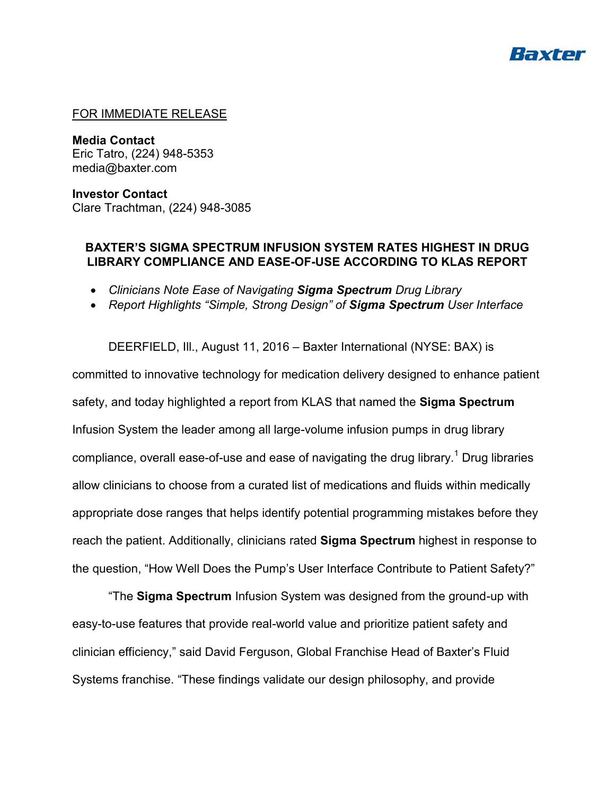

### FOR IMMEDIATE RELEASE

**Media Contact** Eric Tatro, (224) 948-5353 media@baxter.com

**Investor Contact** Clare Trachtman, (224) 948-3085

## **BAXTER'S SIGMA SPECTRUM INFUSION SYSTEM RATES HIGHEST IN DRUG LIBRARY COMPLIANCE AND EASE-OF-USE ACCORDING TO KLAS REPORT**

- *Clinicians Note Ease of Navigating Sigma Spectrum Drug Library*
- *Report Highlights "Simple, Strong Design" of Sigma Spectrum User Interface*

DEERFIELD, Ill., August 11, 2016 – Baxter International (NYSE: BAX) is committed to innovative technology for medication delivery designed to enhance patient safety, and today highlighted a report from KLAS that named the **Sigma Spectrum** Infusion System the leader among all large-volume infusion pumps in drug library compliance, overall ease-of-use and ease of navigating the drug library.<sup>1</sup> Drug libraries allow clinicians to choose from a curated list of medications and fluids within medically appropriate dose ranges that helps identify potential programming mistakes before they reach the patient. Additionally, clinicians rated **Sigma Spectrum** highest in response to the question, "How Well Does the Pump's User Interface Contribute to Patient Safety?"

"The **Sigma Spectrum** Infusion System was designed from the ground-up with easy-to-use features that provide real-world value and prioritize patient safety and clinician efficiency," said David Ferguson, Global Franchise Head of Baxter's Fluid Systems franchise. "These findings validate our design philosophy, and provide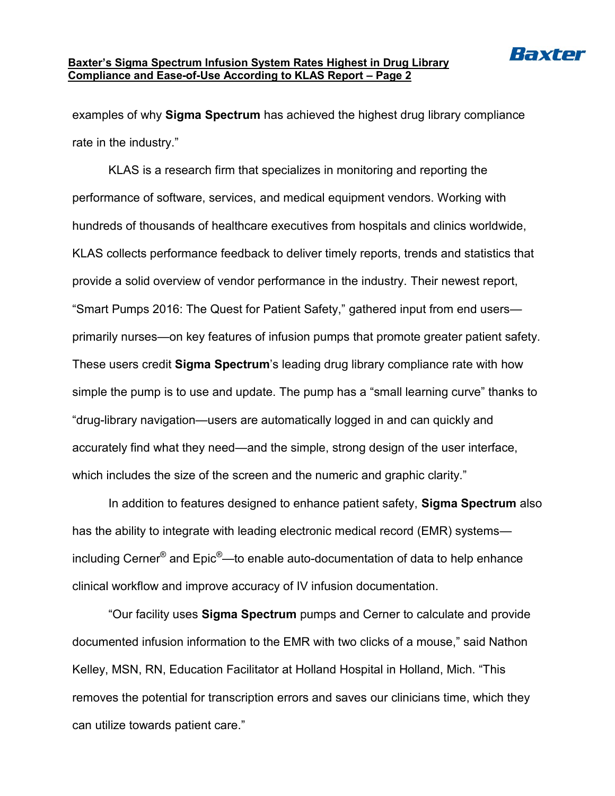

#### **Baxter's Sigma Spectrum Infusion System Rates Highest in Drug Library Compliance and Ease-of-Use According to KLAS Report – Page 2**

examples of why **Sigma Spectrum** has achieved the highest drug library compliance rate in the industry."

KLAS is a research firm that specializes in monitoring and reporting the performance of software, services, and medical equipment vendors. Working with hundreds of thousands of healthcare executives from hospitals and clinics worldwide, KLAS collects performance feedback to deliver timely reports, trends and statistics that provide a solid overview of vendor performance in the industry. Their newest report, "Smart Pumps 2016: The Quest for Patient Safety," gathered input from end users primarily nurses—on key features of infusion pumps that promote greater patient safety. These users credit **Sigma Spectrum**'s leading drug library compliance rate with how simple the pump is to use and update. The pump has a "small learning curve" thanks to "drug-library navigation—users are automatically logged in and can quickly and accurately find what they need—and the simple, strong design of the user interface, which includes the size of the screen and the numeric and graphic clarity."

In addition to features designed to enhance patient safety, **Sigma Spectrum** also has the ability to integrate with leading electronic medical record (EMR) systems including Cerner® and Epic®—to enable auto-documentation of data to help enhance clinical workflow and improve accuracy of IV infusion documentation.

"Our facility uses **Sigma Spectrum** pumps and Cerner to calculate and provide documented infusion information to the EMR with two clicks of a mouse," said Nathon Kelley, MSN, RN, Education Facilitator at Holland Hospital in Holland, Mich. "This removes the potential for transcription errors and saves our clinicians time, which they can utilize towards patient care."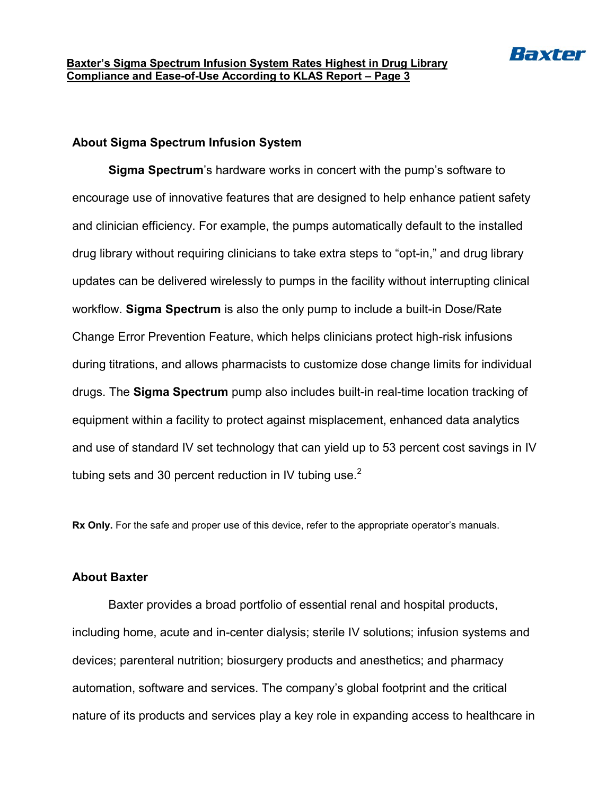

## **About Sigma Spectrum Infusion System**

**Sigma Spectrum**'s hardware works in concert with the pump's software to encourage use of innovative features that are designed to help enhance patient safety and clinician efficiency. For example, the pumps automatically default to the installed drug library without requiring clinicians to take extra steps to "opt-in," and drug library updates can be delivered wirelessly to pumps in the facility without interrupting clinical workflow. **Sigma Spectrum** is also the only pump to include a built-in Dose/Rate Change Error Prevention Feature, which helps clinicians protect high-risk infusions during titrations, and allows pharmacists to customize dose change limits for individual drugs. The **Sigma Spectrum** pump also includes built-in real-time location tracking of equipment within a facility to protect against misplacement, enhanced data analytics and use of standard IV set technology that can yield up to 53 percent cost savings in IV tubing sets and 30 percent reduction in IV tubing use. $2^2$ 

**Rx Only.** For the safe and proper use of this device, refer to the appropriate operator's manuals.

## **About Baxter**

Baxter provides a broad portfolio of essential renal and hospital products, including home, acute and in-center dialysis; sterile IV solutions; infusion systems and devices; parenteral nutrition; biosurgery products and anesthetics; and pharmacy automation, software and services. The company's global footprint and the critical nature of its products and services play a key role in expanding access to healthcare in